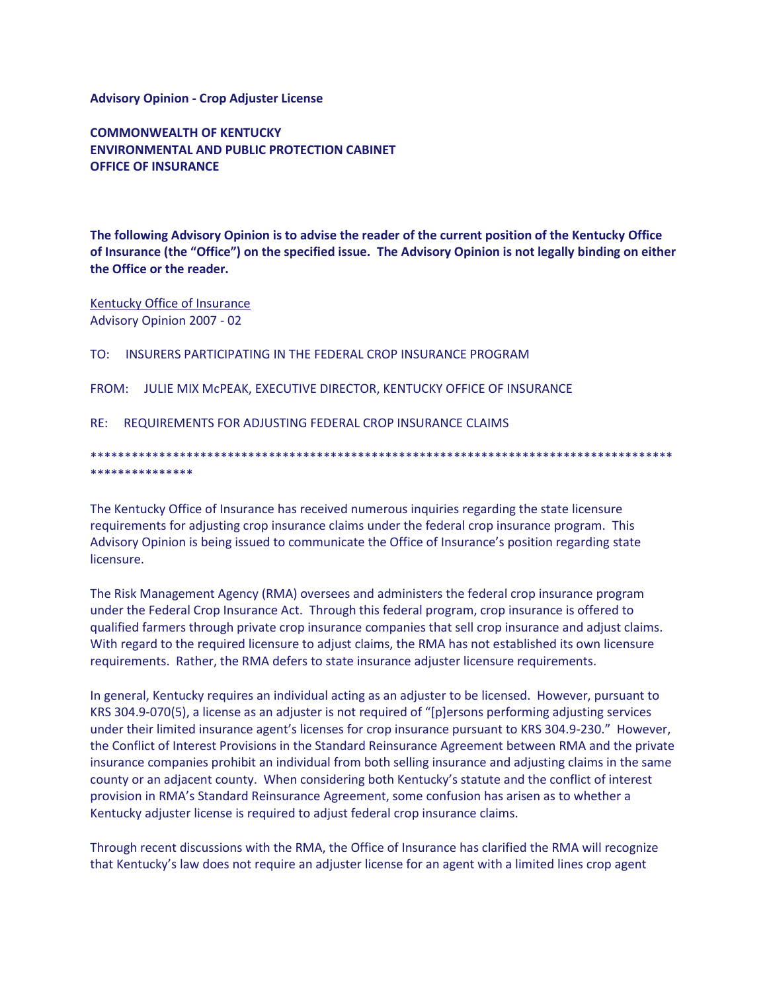## **Advisory Opinion - Crop Adjuster License**

**COMMONWEALTH OF KENTUCKY ENVIRONMENTAL AND PUBLIC PROTECTION CABINET OFFICE OF INSURANCE** 

The following Advisory Opinion is to advise the reader of the current position of the Kentucky Office of Insurance (the "Office") on the specified issue. The Advisory Opinion is not legally binding on either the Office or the reader.

Kentucky Office of Insurance Advisory Opinion 2007 - 02

TO: INSURERS PARTICIPATING IN THE FEDERAL CROP INSURANCE PROGRAM

FROM: JULIE MIX MCPEAK, EXECUTIVE DIRECTOR, KENTUCKY OFFICE OF INSURANCE

RE: REQUIREMENTS FOR ADJUSTING FEDERAL CROP INSURANCE CLAIMS

\*\*\*\*\*\*\*\*\*\*\*\*\*\*\*

The Kentucky Office of Insurance has received numerous inquiries regarding the state licensure requirements for adjusting crop insurance claims under the federal crop insurance program. This Advisory Opinion is being issued to communicate the Office of Insurance's position regarding state licensure.

The Risk Management Agency (RMA) oversees and administers the federal crop insurance program under the Federal Crop Insurance Act. Through this federal program, crop insurance is offered to qualified farmers through private crop insurance companies that sell crop insurance and adjust claims. With regard to the required licensure to adjust claims, the RMA has not established its own licensure requirements. Rather, the RMA defers to state insurance adjuster licensure requirements.

In general, Kentucky requires an individual acting as an adjuster to be licensed. However, pursuant to KRS 304.9-070(5), a license as an adjuster is not required of "[p]ersons performing adjusting services under their limited insurance agent's licenses for crop insurance pursuant to KRS 304.9-230." However, the Conflict of Interest Provisions in the Standard Reinsurance Agreement between RMA and the private insurance companies prohibit an individual from both selling insurance and adjusting claims in the same county or an adjacent county. When considering both Kentucky's statute and the conflict of interest provision in RMA's Standard Reinsurance Agreement, some confusion has arisen as to whether a Kentucky adjuster license is required to adjust federal crop insurance claims.

Through recent discussions with the RMA, the Office of Insurance has clarified the RMA will recognize that Kentucky's law does not require an adjuster license for an agent with a limited lines crop agent